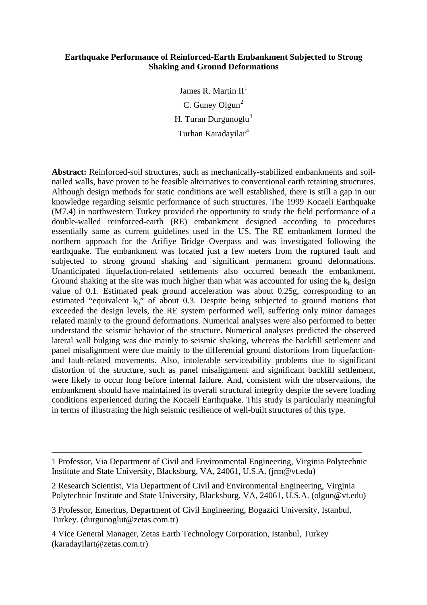# **Earthquake Performance of Reinforced-Earth Embankment Subjected to Strong Shaking and Ground Deformations**

James R. Martin  $II<sup>1</sup>$  $II<sup>1</sup>$  $II<sup>1</sup>$ C. Guney Olgun $<sup>2</sup>$  $<sup>2</sup>$  $<sup>2</sup>$ </sup> H. Turan Durgunoglu $3$ Turhan Karadayilar<sup>[4](#page-0-3)</sup>

**Abstract:** Reinforced-soil structures, such as mechanically-stabilized embankments and soilnailed walls, have proven to be feasible alternatives to conventional earth retaining structures. Although design methods for static conditions are well established, there is still a gap in our knowledge regarding seismic performance of such structures. The 1999 Kocaeli Earthquake (M7.4) in northwestern Turkey provided the opportunity to study the field performance of a double-walled reinforced-earth (RE) embankment designed according to procedures essentially same as current guidelines used in the US. The RE embankment formed the northern approach for the Arifiye Bridge Overpass and was investigated following the earthquake. The embankment was located just a few meters from the ruptured fault and subjected to strong ground shaking and significant permanent ground deformations. Unanticipated liquefaction-related settlements also occurred beneath the embankment. Ground shaking at the site was much higher than what was accounted for using the  $k_h$  design value of 0.1. Estimated peak ground acceleration was about 0.25g, corresponding to an estimated "equivalent  $k_h$ " of about 0.3. Despite being subjected to ground motions that exceeded the design levels, the RE system performed well, suffering only minor damages related mainly to the ground deformations. Numerical analyses were also performed to better understand the seismic behavior of the structure. Numerical analyses predicted the observed lateral wall bulging was due mainly to seismic shaking, whereas the backfill settlement and panel misalignment were due mainly to the differential ground distortions from liquefactionand fault-related movements. Also, intolerable serviceability problems due to significant distortion of the structure, such as panel misalignment and significant backfill settlement, were likely to occur long before internal failure. And, consistent with the observations, the embankment should have maintained its overall structural integrity despite the severe loading conditions experienced during the Kocaeli Earthquake. This study is particularly meaningful in terms of illustrating the high seismic resilience of well-built structures of this type.

<span id="page-0-3"></span>4 Vice General Manager, Zetas Earth Technology Corporation, Istanbul, Turkey (karadayilart@zetas.com.tr)

 $\overline{a}$ 

<span id="page-0-0"></span><sup>1</sup> Professor, Via Department of Civil and Environmental Engineering, Virginia Polytechnic Institute and State University, Blacksburg, VA, 24061, U.S.A. [\(jrm@vt.edu\)](mailto:jrm@vt.edu)

<span id="page-0-1"></span><sup>2</sup> Research Scientist, Via Department of Civil and Environmental Engineering, Virginia Polytechnic Institute and State University, Blacksburg, VA, 24061, U.S.A. (olgun@vt.edu)

<span id="page-0-2"></span><sup>3</sup> Professor, Emeritus, Department of Civil Engineering, Bogazici University, Istanbul, Turkey. (durgunoglut@zetas.com.tr)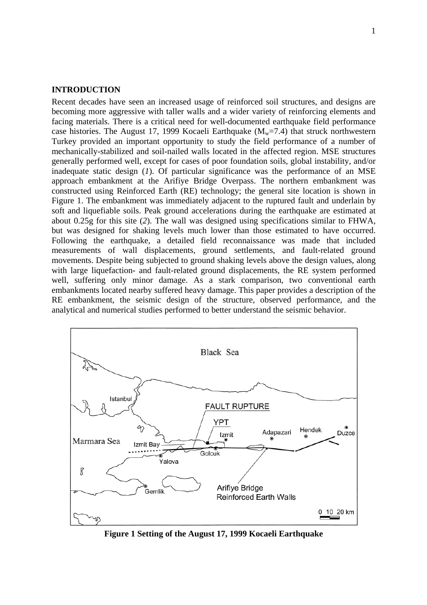## **INTRODUCTION**

Recent decades have seen an increased usage of reinforced soil structures, and designs are becoming more aggressive with taller walls and a wider variety of reinforcing elements and facing materials. There is a critical need for well-documented earthquake field performance case histories. The August 17, 1999 Kocaeli Earthquake  $(M_w=7.4)$  that struck northwestern Turkey provided an important opportunity to study the field performance of a number of mechanically-stabilized and soil-nailed walls located in the affected region. MSE structures generally performed well, except for cases of poor foundation soils, global instability, and/or inadequate static design (*1*). Of particular significance was the performance of an MSE approach embankment at the Arifiye Bridge Overpass. The northern embankment was constructed using Reinforced Earth (RE) technology; the general site location is shown in Figure 1. The embankment was immediately adjacent to the ruptured fault and underlain by soft and liquefiable soils. Peak ground accelerations during the earthquake are estimated at about 0.25g for this site (*2*). The wall was designed using specifications similar to FHWA, but was designed for shaking levels much lower than those estimated to have occurred. Following the earthquake, a detailed field reconnaissance was made that included measurements of wall displacements, ground settlements, and fault-related ground movements. Despite being subjected to ground shaking levels above the design values, along with large liquefaction- and fault-related ground displacements, the RE system performed well, suffering only minor damage. As a stark comparison, two conventional earth embankments located nearby suffered heavy damage. This paper provides a description of the RE embankment, the seismic design of the structure, observed performance, and the analytical and numerical studies performed to better understand the seismic behavior.



**Figure 1 Setting of the August 17, 1999 Kocaeli Earthquake**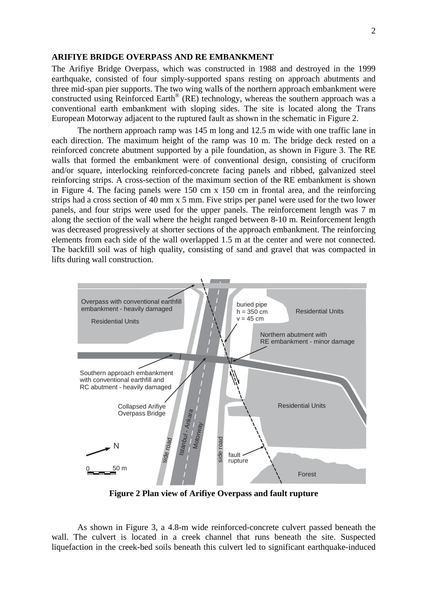### **ARIFIYE BRIDGE OVERPASS AND RE EMBANKMENT**

The Arifiye Bridge Overpass, which was constructed in 1988 and destroyed in the 1999 earthquake, consisted of four simply-supported spans resting on approach abutments and three mid-span pier supports. The two wing walls of the northern approach embankment were constructed using Reinforced Earth® (RE) technology, whereas the southern approach was a conventional earth embankment with sloping sides. The site is located along the Trans European Motorway adjacent to the ruptured fault as shown in the schematic in Figure 2.

The northern approach ramp was 145 m long and 12.5 m wide with one traffic lane in each direction. The maximum height of the ramp was 10 m. The bridge deck rested on a reinforced concrete abutment supported by a pile foundation, as shown in Figure 3. The RE walls that formed the embankment were of conventional design, consisting of cruciform and/or square, interlocking reinforced-concrete facing panels and ribbed, galvanized steel reinforcing strips. A cross-section of the maximum section of the RE embankment is shown in Figure 4. The facing panels were 150 cm x 150 cm in frontal area, and the reinforcing strips had a cross section of 40 mm x 5 mm. Five strips per panel were used for the two lower panels, and four strips were used for the upper panels. The reinforcement length was 7 m along the section of the wall where the height ranged between 8-10 m. Reinforcement length was decreased progressively at shorter sections of the approach embankment. The reinforcing elements from each side of the wall overlapped 1.5 m at the center and were not connected. The backfill soil was of high quality, consisting of sand and gravel that was compacted in lifts during wall construction.



**Figure 2 Plan view of Arifiye Overpass and fault rupture** 

As shown in Figure 3, a 4.8-m wide reinforced-concrete culvert passed beneath the wall. The culvert is located in a creek channel that runs beneath the site. Suspected liquefaction in the creek-bed soils beneath this culvert led to significant earthquake-induced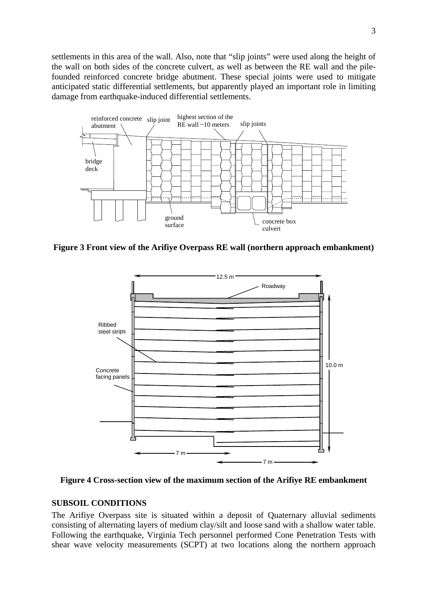settlements in this area of the wall. Also, note that "slip joints" were used along the height of the wall on both sides of the concrete culvert, as well as between the RE wall and the pilefounded reinforced concrete bridge abutment. These special joints were used to mitigate anticipated static differential settlements, but apparently played an important role in limiting damage from earthquake-induced differential settlements.



**Figure 3 Front view of the Arifiye Overpass RE wall (northern approach embankment)** 



**Figure 4 Cross-section view of the maximum section of the Arifiye RE embankment** 

# **SUBSOIL CONDITIONS**

The Arifiye Overpass site is situated within a deposit of Quaternary alluvial sediments consisting of alternating layers of medium clay/silt and loose sand with a shallow water table. Following the earthquake, Virginia Tech personnel performed Cone Penetration Tests with shear wave velocity measurements (SCPT) at two locations along the northern approach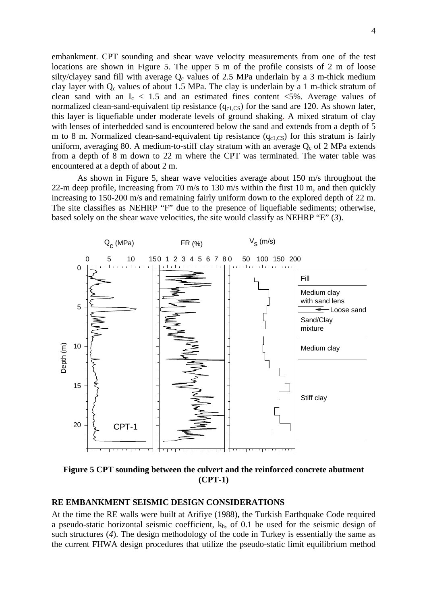embankment. CPT sounding and shear wave velocity measurements from one of the test locations are shown in Figure 5. The upper 5 m of the profile consists of 2 m of loose silty/clayey sand fill with average  $Q_c$  values of 2.5 MPa underlain by a 3 m-thick medium clay layer with  $Q_c$  values of about 1.5 MPa. The clay is underlain by a 1 m-thick stratum of clean sand with an  $I_c < 1.5$  and an estimated fines content  $\langle 5\% \rangle$ . Average values of normalized clean-sand-equivalent tip resistance  $(q_{c1,CS})$  for the sand are 120. As shown later, this layer is liquefiable under moderate levels of ground shaking. A mixed stratum of clay with lenses of interbedded sand is encountered below the sand and extends from a depth of 5 m to 8 m. Normalized clean-sand-equivalent tip resistance  $(q_{c1,CS})$  for this stratum is fairly uniform, averaging 80. A medium-to-stiff clay stratum with an average  $Q_c$  of 2 MPa extends from a depth of 8 m down to 22 m where the CPT was terminated. The water table was encountered at a depth of about 2 m.

As shown in Figure 5, shear wave velocities average about 150 m/s throughout the 22-m deep profile, increasing from 70 m/s to 130 m/s within the first 10 m, and then quickly increasing to 150-200 m/s and remaining fairly uniform down to the explored depth of 22 m. The site classifies as NEHRP "F" due to the presence of liquefiable sediments; otherwise, based solely on the shear wave velocities, the site would classify as NEHRP "E" (*3*).



**Figure 5 CPT sounding between the culvert and the reinforced concrete abutment (CPT-1)** 

# **RE EMBANKMENT SEISMIC DESIGN CONSIDERATIONS**

At the time the RE walls were built at Arifiye (1988), the Turkish Earthquake Code required a pseudo-static horizontal seismic coefficient,  $k<sub>h</sub>$ , of 0.1 be used for the seismic design of such structures (*4*). The design methodology of the code in Turkey is essentially the same as the current FHWA design procedures that utilize the pseudo-static limit equilibrium method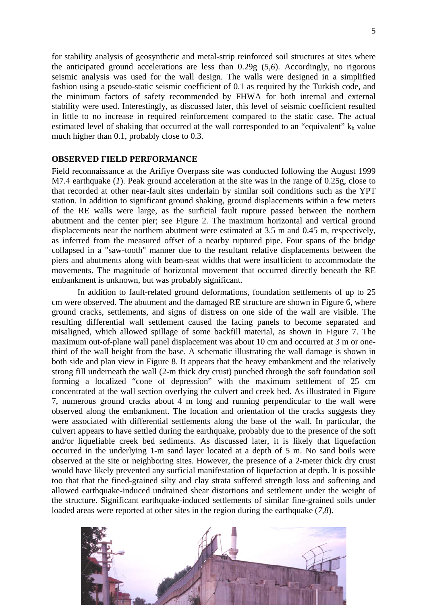for stability analysis of geosynthetic and metal-strip reinforced soil structures at sites where the anticipated ground accelerations are less than 0.29g (*5,6*). Accordingly, no rigorous seismic analysis was used for the wall design. The walls were designed in a simplified fashion using a pseudo-static seismic coefficient of 0.1 as required by the Turkish code, and the minimum factors of safety recommended by FHWA for both internal and external stability were used. Interestingly, as discussed later, this level of seismic coefficient resulted in little to no increase in required reinforcement compared to the static case. The actual estimated level of shaking that occurred at the wall corresponded to an "equivalent"  $k<sub>h</sub>$  value much higher than 0.1, probably close to 0.3.

## **OBSERVED FIELD PERFORMANCE**

Field reconnaissance at the Arifiye Overpass site was conducted following the August 1999 M7.4 earthquake (*1*). Peak ground acceleration at the site was in the range of 0.25g, close to that recorded at other near-fault sites underlain by similar soil conditions such as the YPT station. In addition to significant ground shaking, ground displacements within a few meters of the RE walls were large, as the surficial fault rupture passed between the northern abutment and the center pier; see Figure 2. The maximum horizontal and vertical ground displacements near the northern abutment were estimated at 3.5 m and 0.45 m, respectively, as inferred from the measured offset of a nearby ruptured pipe. Four spans of the bridge collapsed in a "saw-tooth" manner due to the resultant relative displacements between the piers and abutments along with beam-seat widths that were insufficient to accommodate the movements. The magnitude of horizontal movement that occurred directly beneath the RE embankment is unknown, but was probably significant.

In addition to fault-related ground deformations, foundation settlements of up to 25 cm were observed. The abutment and the damaged RE structure are shown in Figure 6, where ground cracks, settlements, and signs of distress on one side of the wall are visible. The resulting differential wall settlement caused the facing panels to become separated and misaligned, which allowed spillage of some backfill material, as shown in Figure 7. The maximum out-of-plane wall panel displacement was about 10 cm and occurred at 3 m or onethird of the wall height from the base. A schematic illustrating the wall damage is shown in both side and plan view in Figure 8. It appears that the heavy embankment and the relatively strong fill underneath the wall (2-m thick dry crust) punched through the soft foundation soil forming a localized "cone of depression" with the maximum settlement of 25 cm concentrated at the wall section overlying the culvert and creek bed. As illustrated in Figure 7, numerous ground cracks about 4 m long and running perpendicular to the wall were observed along the embankment. The location and orientation of the cracks suggests they were associated with differential settlements along the base of the wall. In particular, the culvert appears to have settled during the earthquake, probably due to the presence of the soft and/or liquefiable creek bed sediments. As discussed later, it is likely that liquefaction occurred in the underlying 1-m sand layer located at a depth of 5 m. No sand boils were observed at the site or neighboring sites. However, the presence of a 2-meter thick dry crust would have likely prevented any surficial manifestation of liquefaction at depth. It is possible too that that the fined-grained silty and clay strata suffered strength loss and softening and allowed earthquake-induced undrained shear distortions and settlement under the weight of the structure. Significant earthquake-induced settlements of similar fine-grained soils under loaded areas were reported at other sites in the region during the earthquake (*7,8*).

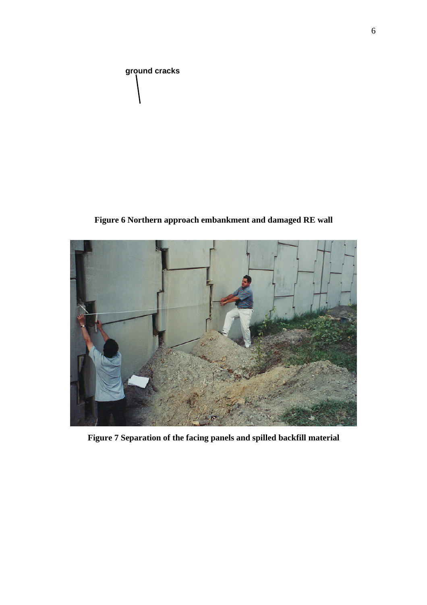

**Figure 6 Northern approach embankment and damaged RE wall** 



**Figure 7 Separation of the facing panels and spilled backfill material**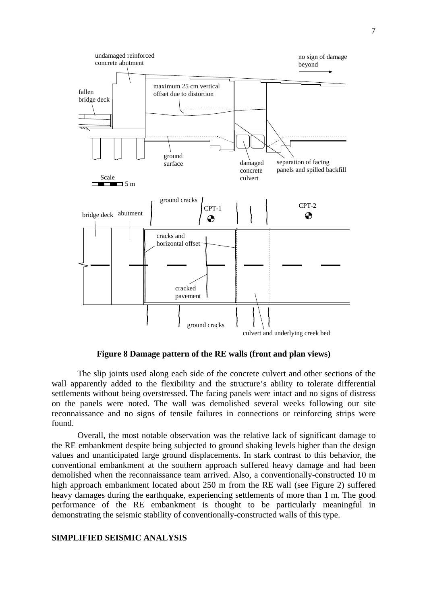

**Figure 8 Damage pattern of the RE walls (front and plan views)** 

The slip joints used along each side of the concrete culvert and other sections of the wall apparently added to the flexibility and the structure's ability to tolerate differential settlements without being overstressed. The facing panels were intact and no signs of distress on the panels were noted. The wall was demolished several weeks following our site reconnaissance and no signs of tensile failures in connections or reinforcing strips were found.

Overall, the most notable observation was the relative lack of significant damage to the RE embankment despite being subjected to ground shaking levels higher than the design values and unanticipated large ground displacements. In stark contrast to this behavior, the conventional embankment at the southern approach suffered heavy damage and had been demolished when the reconnaissance team arrived. Also, a conventionally-constructed 10 m high approach embankment located about 250 m from the RE wall (see Figure 2) suffered heavy damages during the earthquake, experiencing settlements of more than 1 m. The good performance of the RE embankment is thought to be particularly meaningful in demonstrating the seismic stability of conventionally-constructed walls of this type.

#### **SIMPLIFIED SEISMIC ANALYSIS**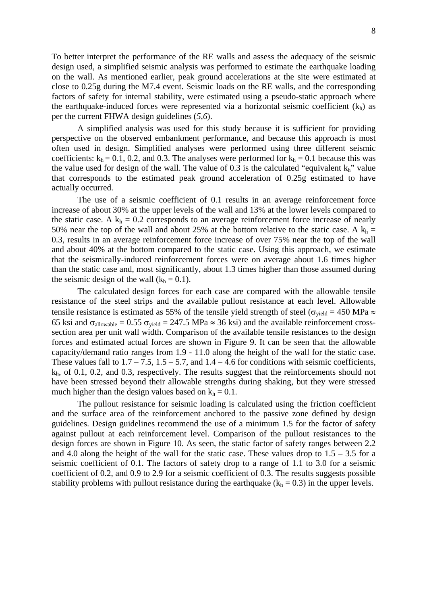To better interpret the performance of the RE walls and assess the adequacy of the seismic design used, a simplified seismic analysis was performed to estimate the earthquake loading on the wall. As mentioned earlier, peak ground accelerations at the site were estimated at close to 0.25g during the M7.4 event. Seismic loads on the RE walls, and the corresponding factors of safety for internal stability, were estimated using a pseudo-static approach where the earthquake-induced forces were represented via a horizontal seismic coefficient  $(k_h)$  as per the current FHWA design guidelines (*5,6*).

A simplified analysis was used for this study because it is sufficient for providing perspective on the observed embankment performance, and because this approach is most often used in design. Simplified analyses were performed using three different seismic coefficients:  $k_h = 0.1$ , 0.2, and 0.3. The analyses were performed for  $k_h = 0.1$  because this was the value used for design of the wall. The value of 0.3 is the calculated "equivalent  $k_h$ " value that corresponds to the estimated peak ground acceleration of 0.25g estimated to have actually occurred.

The use of a seismic coefficient of 0.1 results in an average reinforcement force increase of about 30% at the upper levels of the wall and 13% at the lower levels compared to the static case. A  $k_h = 0.2$  corresponds to an average reinforcement force increase of nearly 50% near the top of the wall and about 25% at the bottom relative to the static case. A  $k_h$  = 0.3, results in an average reinforcement force increase of over 75% near the top of the wall and about 40% at the bottom compared to the static case. Using this approach, we estimate that the seismically-induced reinforcement forces were on average about 1.6 times higher than the static case and, most significantly, about 1.3 times higher than those assumed during the seismic design of the wall  $(k_h = 0.1)$ .

The calculated design forces for each case are compared with the allowable tensile resistance of the steel strips and the available pullout resistance at each level. Allowable tensile resistance is estimated as 55% of the tensile yield strength of steel ( $\sigma_{yield} = 450 \text{ MPa} \approx$ 65 ksi and  $\sigma_{\text{allowable}} = 0.55 \sigma_{\text{yield}} = 247.5 \text{ MPa} \approx 36 \text{ ksi}$  and the available reinforcement crosssection area per unit wall width. Comparison of the available tensile resistances to the design forces and estimated actual forces are shown in Figure 9. It can be seen that the allowable capacity/demand ratio ranges from 1.9 - 11.0 along the height of the wall for the static case. These values fall to  $1.7 - 7.5$ ,  $1.5 - 5.7$ , and  $1.4 - 4.6$  for conditions with seismic coefficients, kh, of 0.1, 0.2, and 0.3, respectively. The results suggest that the reinforcements should not have been stressed beyond their allowable strengths during shaking, but they were stressed much higher than the design values based on  $k_h = 0.1$ .

The pullout resistance for seismic loading is calculated using the friction coefficient and the surface area of the reinforcement anchored to the passive zone defined by design guidelines. Design guidelines recommend the use of a minimum 1.5 for the factor of safety against pullout at each reinforcement level. Comparison of the pullout resistances to the design forces are shown in Figure 10. As seen, the static factor of safety ranges between 2.2 and 4.0 along the height of the wall for the static case. These values drop to  $1.5 - 3.5$  for a seismic coefficient of 0.1. The factors of safety drop to a range of 1.1 to 3.0 for a seismic coefficient of 0.2, and 0.9 to 2.9 for a seismic coefficient of 0.3. The results suggests possible stability problems with pullout resistance during the earthquake  $(k<sub>h</sub> = 0.3)$  in the upper levels.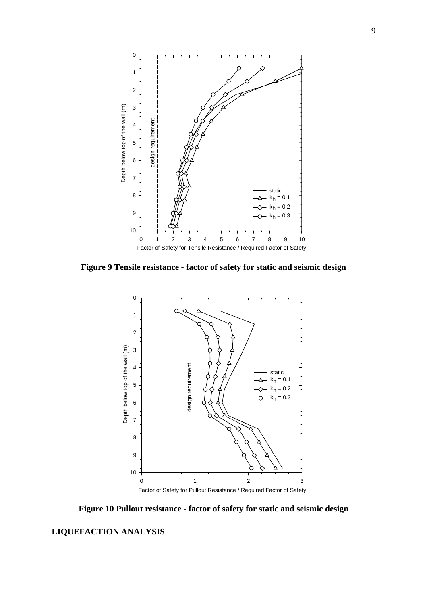

**Figure 9 Tensile resistance - factor of safety for static and seismic design** 



**Figure 10 Pullout resistance - factor of safety for static and seismic design** 

# **LIQUEFACTION ANALYSIS**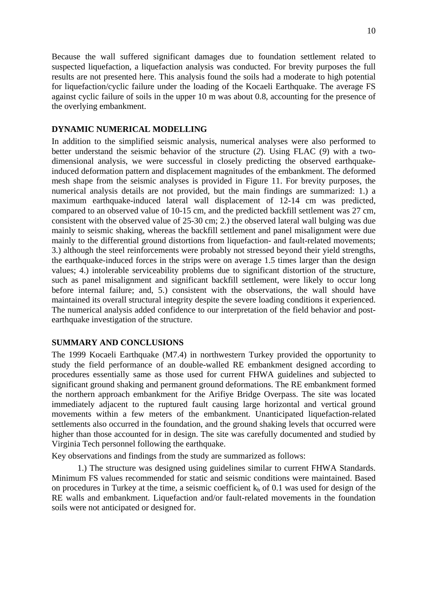Because the wall suffered significant damages due to foundation settlement related to suspected liquefaction, a liquefaction analysis was conducted. For brevity purposes the full results are not presented here. This analysis found the soils had a moderate to high potential for liquefaction/cyclic failure under the loading of the Kocaeli Earthquake. The average FS against cyclic failure of soils in the upper 10 m was about 0.8, accounting for the presence of the overlying embankment.

# **DYNAMIC NUMERICAL MODELLING**

In addition to the simplified seismic analysis, numerical analyses were also performed to better understand the seismic behavior of the structure (*2*). Using FLAC (*9*) with a twodimensional analysis, we were successful in closely predicting the observed earthquakeinduced deformation pattern and displacement magnitudes of the embankment. The deformed mesh shape from the seismic analyses is provided in Figure 11. For brevity purposes, the numerical analysis details are not provided, but the main findings are summarized: 1.) a maximum earthquake-induced lateral wall displacement of 12-14 cm was predicted, compared to an observed value of 10-15 cm, and the predicted backfill settlement was 27 cm, consistent with the observed value of 25-30 cm; 2.) the observed lateral wall bulging was due mainly to seismic shaking, whereas the backfill settlement and panel misalignment were due mainly to the differential ground distortions from liquefaction- and fault-related movements; 3.) although the steel reinforcements were probably not stressed beyond their yield strengths, the earthquake-induced forces in the strips were on average 1.5 times larger than the design values; 4.) intolerable serviceability problems due to significant distortion of the structure, such as panel misalignment and significant backfill settlement, were likely to occur long before internal failure; and, 5.) consistent with the observations, the wall should have maintained its overall structural integrity despite the severe loading conditions it experienced. The numerical analysis added confidence to our interpretation of the field behavior and postearthquake investigation of the structure.

## **SUMMARY AND CONCLUSIONS**

The 1999 Kocaeli Earthquake (M7.4) in northwestern Turkey provided the opportunity to study the field performance of an double-walled RE embankment designed according to procedures essentially same as those used for current FHWA guidelines and subjected to significant ground shaking and permanent ground deformations. The RE embankment formed the northern approach embankment for the Arifiye Bridge Overpass. The site was located immediately adjacent to the ruptured fault causing large horizontal and vertical ground movements within a few meters of the embankment. Unanticipated liquefaction-related settlements also occurred in the foundation, and the ground shaking levels that occurred were higher than those accounted for in design. The site was carefully documented and studied by Virginia Tech personnel following the earthquake.

Key observations and findings from the study are summarized as follows:

1.) The structure was designed using guidelines similar to current FHWA Standards. Minimum FS values recommended for static and seismic conditions were maintained. Based on procedures in Turkey at the time, a seismic coefficient  $k_h$  of 0.1 was used for design of the RE walls and embankment. Liquefaction and/or fault-related movements in the foundation soils were not anticipated or designed for.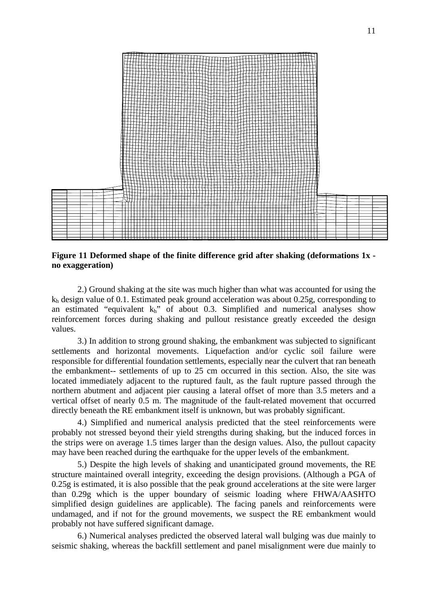

**Figure 11 Deformed shape of the finite difference grid after shaking (deformations 1x no exaggeration)** 

2.) Ground shaking at the site was much higher than what was accounted for using the  $k_h$  design value of 0.1. Estimated peak ground acceleration was about 0.25g, corresponding to an estimated "equivalent  $k_h$ " of about 0.3. Simplified and numerical analyses show reinforcement forces during shaking and pullout resistance greatly exceeded the design values.

3.) In addition to strong ground shaking, the embankment was subjected to significant settlements and horizontal movements. Liquefaction and/or cyclic soil failure were responsible for differential foundation settlements, especially near the culvert that ran beneath the embankment-- settlements of up to 25 cm occurred in this section. Also, the site was located immediately adjacent to the ruptured fault, as the fault rupture passed through the northern abutment and adjacent pier causing a lateral offset of more than 3.5 meters and a vertical offset of nearly 0.5 m. The magnitude of the fault-related movement that occurred directly beneath the RE embankment itself is unknown, but was probably significant.

4.) Simplified and numerical analysis predicted that the steel reinforcements were probably not stressed beyond their yield strengths during shaking, but the induced forces in the strips were on average 1.5 times larger than the design values. Also, the pullout capacity may have been reached during the earthquake for the upper levels of the embankment.

5.) Despite the high levels of shaking and unanticipated ground movements, the RE structure maintained overall integrity, exceeding the design provisions. (Although a PGA of 0.25g is estimated, it is also possible that the peak ground accelerations at the site were larger than 0.29g which is the upper boundary of seismic loading where FHWA/AASHTO simplified design guidelines are applicable). The facing panels and reinforcements were undamaged, and if not for the ground movements, we suspect the RE embankment would probably not have suffered significant damage.

6.) Numerical analyses predicted the observed lateral wall bulging was due mainly to seismic shaking, whereas the backfill settlement and panel misalignment were due mainly to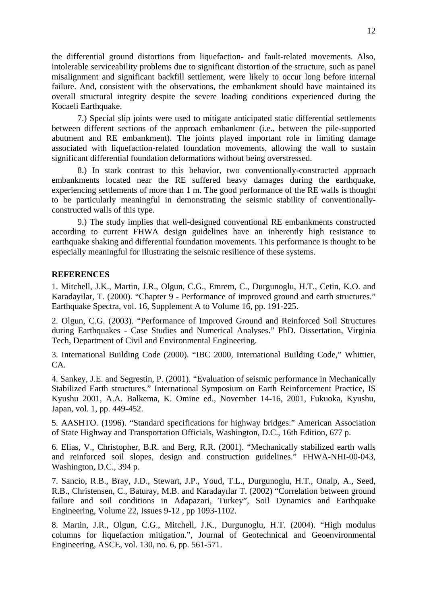the differential ground distortions from liquefaction- and fault-related movements. Also, intolerable serviceability problems due to significant distortion of the structure, such as panel misalignment and significant backfill settlement, were likely to occur long before internal failure. And, consistent with the observations, the embankment should have maintained its overall structural integrity despite the severe loading conditions experienced during the Kocaeli Earthquake.

7.) Special slip joints were used to mitigate anticipated static differential settlements between different sections of the approach embankment (i.e., between the pile-supported abutment and RE embankment). The joints played important role in limiting damage associated with liquefaction-related foundation movements, allowing the wall to sustain significant differential foundation deformations without being overstressed.

8.) In stark contrast to this behavior, two conventionally-constructed approach embankments located near the RE suffered heavy damages during the earthquake, experiencing settlements of more than 1 m. The good performance of the RE walls is thought to be particularly meaningful in demonstrating the seismic stability of conventionallyconstructed walls of this type.

9.) The study implies that well-designed conventional RE embankments constructed according to current FHWA design guidelines have an inherently high resistance to earthquake shaking and differential foundation movements. This performance is thought to be especially meaningful for illustrating the seismic resilience of these systems.

#### **REFERENCES**

1. Mitchell, J.K., Martin, J.R., Olgun, C.G., Emrem, C., Durgunoglu, H.T., Cetin, K.O. and Karadayilar, T. (2000). "Chapter 9 - Performance of improved ground and earth structures." Earthquake Spectra, vol. 16, Supplement A to Volume 16, pp. 191-225.

2. Olgun, C.G. (2003). "Performance of Improved Ground and Reinforced Soil Structures during Earthquakes - Case Studies and Numerical Analyses." PhD. Dissertation, Virginia Tech, Department of Civil and Environmental Engineering.

3. International Building Code (2000). "IBC 2000, International Building Code," Whittier, CA.

4. Sankey, J.E. and Segrestin, P. (2001). "Evaluation of seismic performance in Mechanically Stabilized Earth structures." International Symposium on Earth Reinforcement Practice, IS Kyushu 2001, A.A. Balkema, K. Omine ed., November 14-16, 2001, Fukuoka, Kyushu, Japan, vol. 1, pp. 449-452.

5. AASHTO. (1996). "Standard specifications for highway bridges." American Association of State Highway and Transportation Officials, Washington, D.C., 16th Edition, 677 p.

6. Elias, V., Christopher, B.R. and Berg, R.R. (2001). "Mechanically stabilized earth walls and reinforced soil slopes, design and construction guidelines." FHWA-NHI-00-043, Washington, D.C., 394 p.

7. Sancio, R.B., Bray, J.D., Stewart, J.P., Youd, T.L., Durgunoglu, H.T., Onalp, A., Seed, R.B., Christensen, C., Baturay, M.B. and Karadayılar T. (2002) "Correlation between ground failure and soil conditions in Adapazari, Turkey", Soil Dynamics and Earthquake Engineering, Volume 22, Issues 9-12 , pp 1093-1102.

8. Martin, J.R., Olgun, C.G., Mitchell, J.K., Durgunoglu, H.T. (2004). "High modulus columns for liquefaction mitigation.", Journal of Geotechnical and Geoenvironmental Engineering, ASCE, vol. 130, no. 6, pp. 561-571.